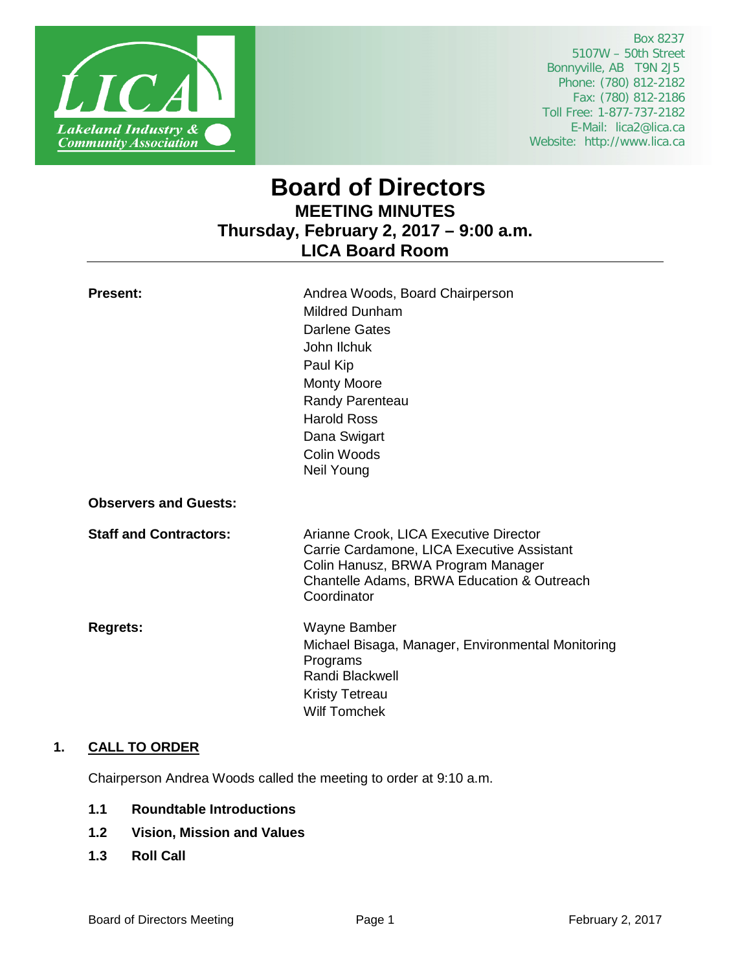

 Box 8237 5107W – 50th Street Bonnyville, AB T9N 2J5 Phone: (780) 812-2182 Fax: (780) 812-2186 Toll Free: 1-877-737-2182 E-Mail: lica2@lica.ca Website: http://www.lica.ca

# **Board of Directors MEETING MINUTES Thursday, February 2, 2017 – 9:00 a.m. LICA Board Room**

| <b>Present:</b>               | Andrea Woods, Board Chairperson                                                                                                                                                         |
|-------------------------------|-----------------------------------------------------------------------------------------------------------------------------------------------------------------------------------------|
|                               | <b>Mildred Dunham</b>                                                                                                                                                                   |
|                               | <b>Darlene Gates</b>                                                                                                                                                                    |
|                               | John Ilchuk                                                                                                                                                                             |
|                               | Paul Kip                                                                                                                                                                                |
|                               | <b>Monty Moore</b>                                                                                                                                                                      |
|                               | Randy Parenteau                                                                                                                                                                         |
|                               | <b>Harold Ross</b>                                                                                                                                                                      |
|                               | Dana Swigart                                                                                                                                                                            |
|                               | Colin Woods                                                                                                                                                                             |
|                               | Neil Young                                                                                                                                                                              |
| <b>Observers and Guests:</b>  |                                                                                                                                                                                         |
| <b>Staff and Contractors:</b> | Arianne Crook, LICA Executive Director<br>Carrie Cardamone, LICA Executive Assistant<br>Colin Hanusz, BRWA Program Manager<br>Chantelle Adams, BRWA Education & Outreach<br>Coordinator |
| <b>Regrets:</b>               | Wayne Bamber<br>Michael Bisaga, Manager, Environmental Monitoring<br>Programs<br>Randi Blackwell<br><b>Kristy Tetreau</b><br><b>Wilf Tomchek</b>                                        |
|                               |                                                                                                                                                                                         |

# **1. CALL TO ORDER**

Chairperson Andrea Woods called the meeting to order at 9:10 a.m.

- **1.1 Roundtable Introductions**
- **1.2 Vision, Mission and Values**
- **1.3 Roll Call**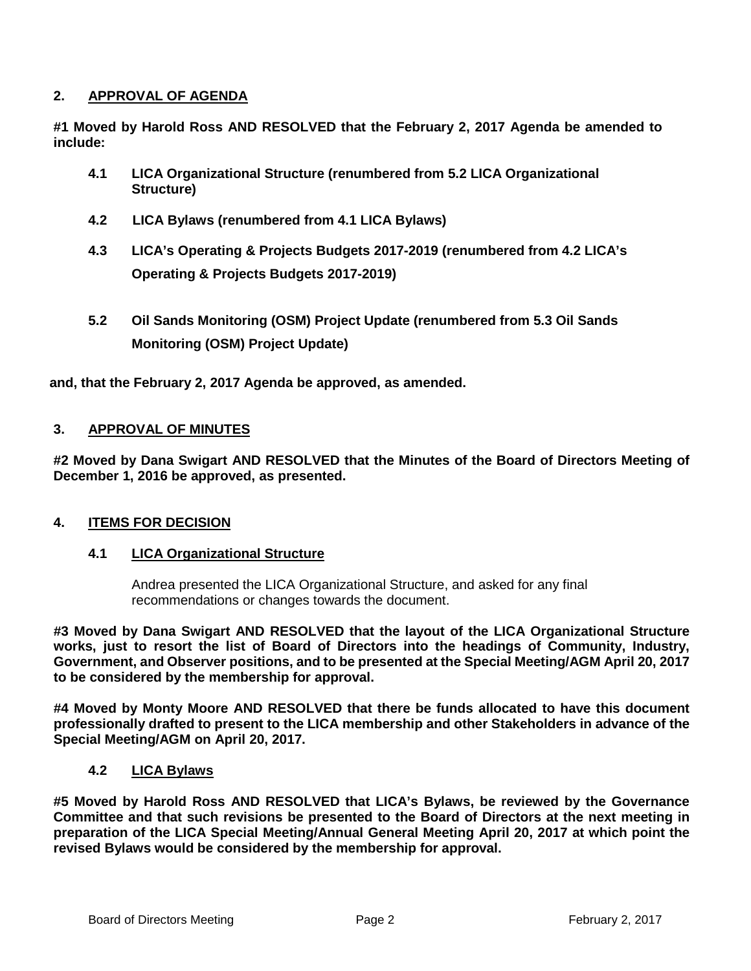# **2. APPROVAL OF AGENDA**

**#1 Moved by Harold Ross AND RESOLVED that the February 2, 2017 Agenda be amended to include:**

- **4.1 LICA Organizational Structure (renumbered from 5.2 LICA Organizational Structure)**
- **4.2 LICA Bylaws (renumbered from 4.1 LICA Bylaws)**
- **4.3 LICA's Operating & Projects Budgets 2017-2019 (renumbered from 4.2 LICA's Operating & Projects Budgets 2017-2019)**
- **5.2 Oil Sands Monitoring (OSM) Project Update (renumbered from 5.3 Oil Sands Monitoring (OSM) Project Update)**

**and, that the February 2, 2017 Agenda be approved, as amended.**

# **3. APPROVAL OF MINUTES**

**#2 Moved by Dana Swigart AND RESOLVED that the Minutes of the Board of Directors Meeting of December 1, 2016 be approved, as presented.**

# **4. ITEMS FOR DECISION**

# **4.1 LICA Organizational Structure**

Andrea presented the LICA Organizational Structure, and asked for any final recommendations or changes towards the document.

**#3 Moved by Dana Swigart AND RESOLVED that the layout of the LICA Organizational Structure works, just to resort the list of Board of Directors into the headings of Community, Industry, Government, and Observer positions, and to be presented at the Special Meeting/AGM April 20, 2017 to be considered by the membership for approval.**

**#4 Moved by Monty Moore AND RESOLVED that there be funds allocated to have this document professionally drafted to present to the LICA membership and other Stakeholders in advance of the Special Meeting/AGM on April 20, 2017.**

# **4.2 LICA Bylaws**

**#5 Moved by Harold Ross AND RESOLVED that LICA's Bylaws, be reviewed by the Governance Committee and that such revisions be presented to the Board of Directors at the next meeting in preparation of the LICA Special Meeting/Annual General Meeting April 20, 2017 at which point the revised Bylaws would be considered by the membership for approval.**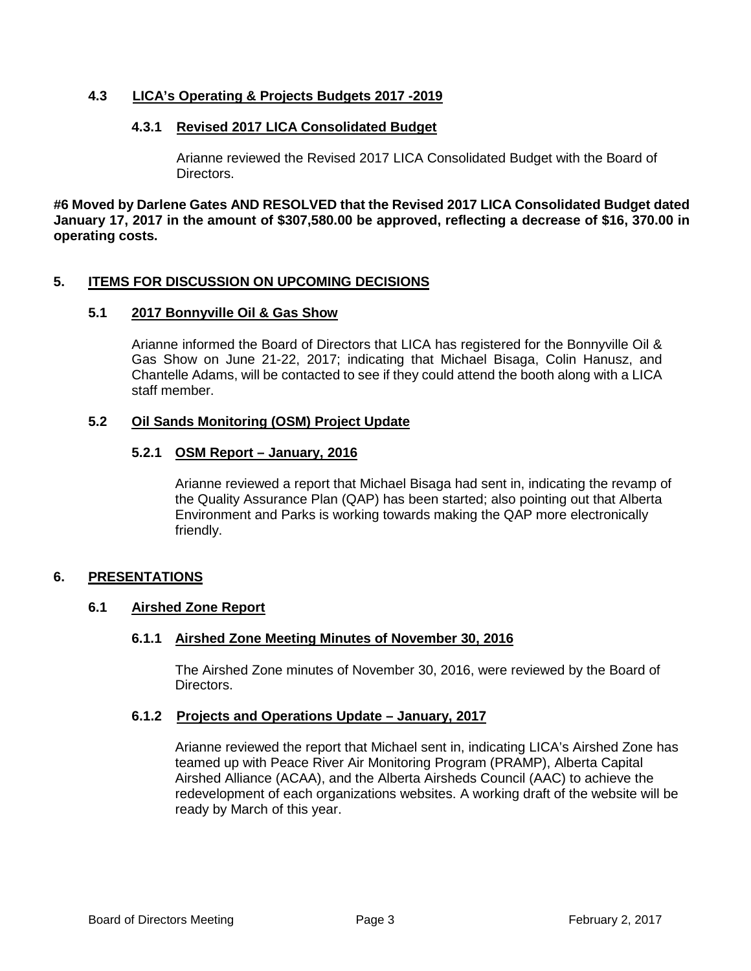# **4.3 LICA's Operating & Projects Budgets 2017 -2019**

## **4.3.1 Revised 2017 LICA Consolidated Budget**

Arianne reviewed the Revised 2017 LICA Consolidated Budget with the Board of Directors.

**#6 Moved by Darlene Gates AND RESOLVED that the Revised 2017 LICA Consolidated Budget dated January 17, 2017 in the amount of \$307,580.00 be approved, reflecting a decrease of \$16, 370.00 in operating costs.**

## **5. ITEMS FOR DISCUSSION ON UPCOMING DECISIONS**

## **5.1 2017 Bonnyville Oil & Gas Show**

Arianne informed the Board of Directors that LICA has registered for the Bonnyville Oil & Gas Show on June 21-22, 2017; indicating that Michael Bisaga, Colin Hanusz, and Chantelle Adams, will be contacted to see if they could attend the booth along with a LICA staff member.

## **5.2 Oil Sands Monitoring (OSM) Project Update**

## **5.2.1 OSM Report – January, 2016**

Arianne reviewed a report that Michael Bisaga had sent in, indicating the revamp of the Quality Assurance Plan (QAP) has been started; also pointing out that Alberta Environment and Parks is working towards making the QAP more electronically friendly.

## **6. PRESENTATIONS**

## **6.1 Airshed Zone Report**

## **6.1.1 Airshed Zone Meeting Minutes of November 30, 2016**

The Airshed Zone minutes of November 30, 2016, were reviewed by the Board of Directors.

## **6.1.2 Projects and Operations Update – January, 2017**

Arianne reviewed the report that Michael sent in, indicating LICA's Airshed Zone has teamed up with Peace River Air Monitoring Program (PRAMP), Alberta Capital Airshed Alliance (ACAA), and the Alberta Airsheds Council (AAC) to achieve the redevelopment of each organizations websites. A working draft of the website will be ready by March of this year.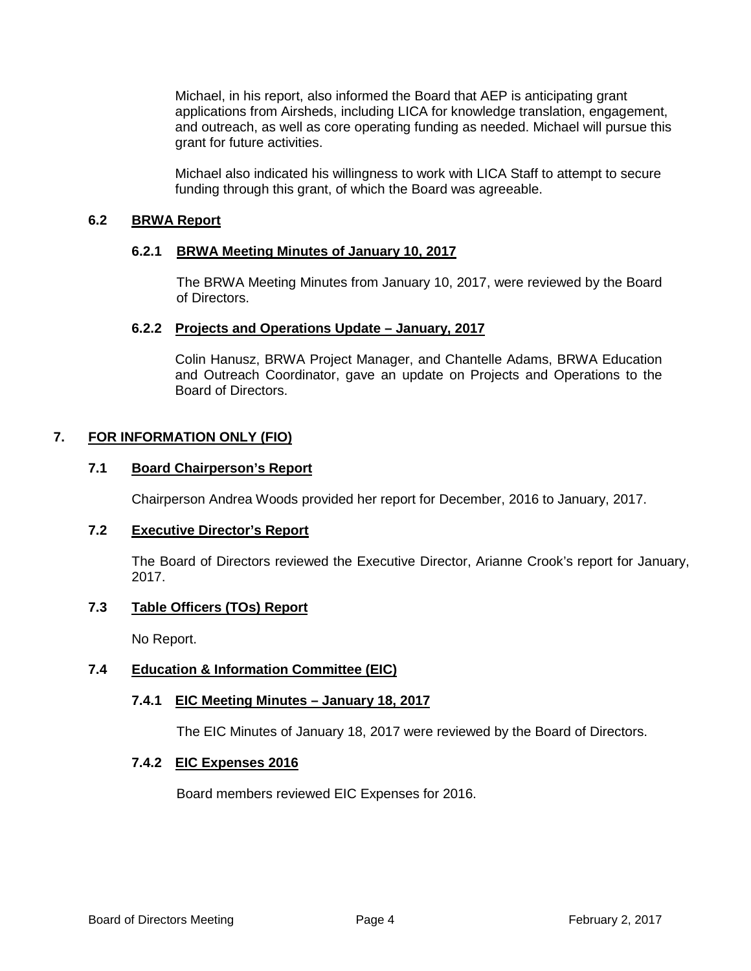Michael, in his report, also informed the Board that AEP is anticipating grant applications from Airsheds, including LICA for knowledge translation, engagement, and outreach, as well as core operating funding as needed. Michael will pursue this grant for future activities.

Michael also indicated his willingness to work with LICA Staff to attempt to secure funding through this grant, of which the Board was agreeable.

# **6.2 BRWA Report**

## **6.2.1 BRWA Meeting Minutes of January 10, 2017**

The BRWA Meeting Minutes from January 10, 2017, were reviewed by the Board of Directors.

## **6.2.2 Projects and Operations Update – January, 2017**

Colin Hanusz, BRWA Project Manager, and Chantelle Adams, BRWA Education and Outreach Coordinator, gave an update on Projects and Operations to the Board of Directors.

## **7. FOR INFORMATION ONLY (FIO)**

## **7.1 Board Chairperson's Report**

Chairperson Andrea Woods provided her report for December, 2016 to January, 2017.

## **7.2 Executive Director's Report**

The Board of Directors reviewed the Executive Director, Arianne Crook's report for January, 2017.

# **7.3 Table Officers (TOs) Report**

No Report.

## **7.4 Education & Information Committee (EIC)**

## **7.4.1 EIC Meeting Minutes – January 18, 2017**

The EIC Minutes of January 18, 2017 were reviewed by the Board of Directors.

## **7.4.2 EIC Expenses 2016**

Board members reviewed EIC Expenses for 2016.